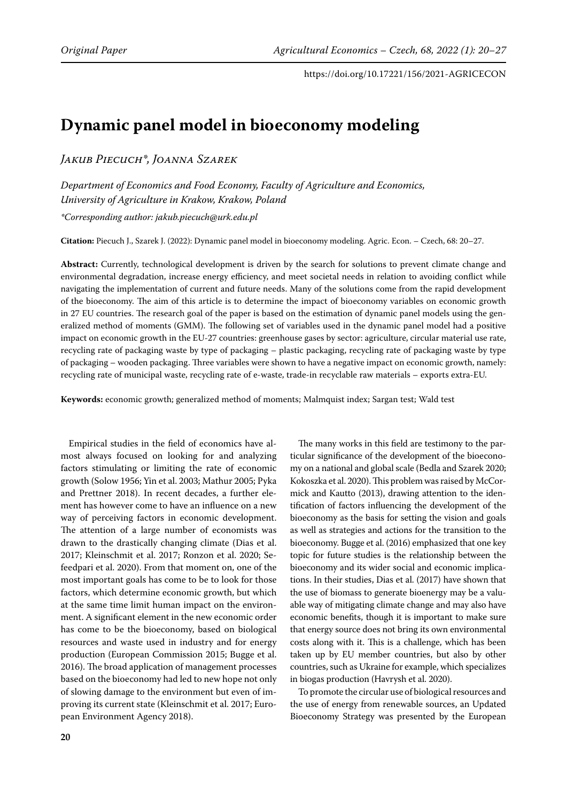# **Dynamic panel model in bioeconomy modeling**

*Jakub Piecuch\*, Joanna Szarek*

*Department of Economics and Food Economy, Faculty of Agriculture and Economics, University of Agriculture in Krakow, Krakow, Poland*

*\*Corresponding author: jakub.piecuch@urk.edu.pl*

**Citation:** Piecuch J., Szarek J. (2022): Dynamic panel model in bioeconomy modeling. Agric. Econ. – Czech, 68: 20–27.

**Abstract:** Currently, technological development is driven by the search for solutions to prevent climate change and environmental degradation, increase energy efficiency, and meet societal needs in relation to avoiding conflict while navigating the implementation of current and future needs. Many of the solutions come from the rapid development of the bioeconomy. The aim of this article is to determine the impact of bioeconomy variables on economic growth in 27 EU countries. The research goal of the paper is based on the estimation of dynamic panel models using the generalized method of moments (GMM). The following set of variables used in the dynamic panel model had a positive impact on economic growth in the EU-27 countries: greenhouse gases by sector: agriculture, circular material use rate, recycling rate of packaging waste by type of packaging – plastic packaging, recycling rate of packaging waste by type of packaging – wooden packaging. Three variables were shown to have a negative impact on economic growth, namely: recycling rate of municipal waste, recycling rate of e-waste, trade-in recyclable raw materials – exports extra-EU.

**Keywords:** economic growth; generalized method of moments; Malmquist index; Sargan test; Wald test

Empirical studies in the field of economics have almost always focused on looking for and analyzing factors stimulating or limiting the rate of economic growth (Solow 1956; Yin et al. 2003; Mathur 2005; Pyka and Prettner 2018). In recent decades, a further element has however come to have an influence on a new way of perceiving factors in economic development. The attention of a large number of economists was drawn to the drastically changing climate (Dias et al. 2017; Kleinschmit et al. 2017; Ronzon et al. 2020; Sefeedpari et al. 2020). From that moment on, one of the most important goals has come to be to look for those factors, which determine economic growth, but which at the same time limit human impact on the environment. A significant element in the new economic order has come to be the bioeconomy, based on biological resources and waste used in industry and for energy production (European Commission 2015; Bugge et al. 2016). The broad application of management processes based on the bioeconomy had led to new hope not only of slowing damage to the environment but even of improving its current state (Kleinschmit et al. 2017; European Environment Agency 2018).

The many works in this field are testimony to the particular significance of the development of the bioeconomy on a national and global scale (Bedla and Szarek 2020; Kokoszka et al. 2020). This problem was raised by McCormick and Kautto (2013), drawing attention to the identification of factors influencing the development of the bioeconomy as the basis for setting the vision and goals as well as strategies and actions for the transition to the bioeconomy. Bugge et al. (2016) emphasized that one key topic for future studies is the relationship between the bioeconomy and its wider social and economic implications. In their studies, Dias et al. (2017) have shown that the use of biomass to generate bioenergy may be a valuable way of mitigating climate change and may also have economic benefits, though it is important to make sure that energy source does not bring its own environmental costs along with it. This is a challenge, which has been taken up by EU member countries, but also by other countries, such as Ukraine for example, which specializes in biogas production (Havrysh et al. 2020).

To promote the circular use of biological resources and the use of energy from renewable sources, an Updated Bioeconomy Strategy was presented by the European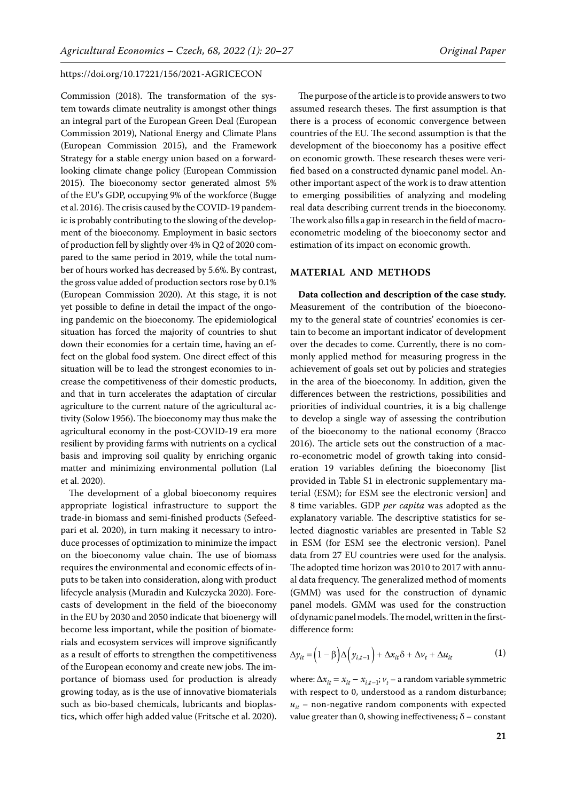Commission (2018). The transformation of the system towards climate neutrality is amongst other things an integral part of the European Green Deal (European Commission 2019), National Energy and Climate Plans (European Commission 2015), and the Framework Strategy for a stable energy union based on a forwardlooking climate change policy (European Commission 2015). The bioeconomy sector generated almost 5% of the EU's GDP, occupying 9% of the workforce (Bugge et al. 2016). The crisis caused by the COVID-19 pandemic is probably contributing to the slowing of the development of the bioeconomy. Employment in basic sectors of production fell by slightly over 4% in Q2 of 2020 compared to the same period in 2019, while the total number of hours worked has decreased by 5.6%. By contrast, the gross value added of production sectors rose by 0.1% (European Commission 2020). At this stage, it is not yet possible to define in detail the impact of the ongoing pandemic on the bioeconomy. The epidemiological situation has forced the majority of countries to shut down their economies for a certain time, having an effect on the global food system. One direct effect of this situation will be to lead the strongest economies to increase the competitiveness of their domestic products, and that in turn accelerates the adaptation of circular agriculture to the current nature of the agricultural activity (Solow 1956). The bioeconomy may thus make the agricultural economy in the post-COVID-19 era more resilient by providing farms with nutrients on a cyclical basis and improving soil quality by enriching organic matter and minimizing environmental pollution (Lal et al. 2020).

The development of a global bioeconomy requires appropriate logistical infrastructure to support the trade-in biomass and semi-finished products (Sefeedpari et al. 2020), in turn making it necessary to introduce processes of optimization to minimize the impact on the bioeconomy value chain. The use of biomass requires the environmental and economic effects of inputs to be taken into consideration, along with product lifecycle analysis (Muradin and Kulczycka 2020). Forecasts of development in the field of the bioeconomy in the EU by 2030 and 2050 indicate that bioenergy will become less important, while the position of biomaterials and ecosystem services will improve significantly as a result of efforts to strengthen the competitiveness of the European economy and create new jobs. The importance of biomass used for production is already growing today, as is the use of innovative biomaterials such as bio-based chemicals, lubricants and bioplastics, which offer high added value (Fritsche et al. 2020).

The purpose of the article is to provide answers to two assumed research theses. The first assumption is that there is a process of economic convergence between countries of the EU. The second assumption is that the development of the bioeconomy has a positive effect on economic growth. These research theses were verified based on a constructed dynamic panel model. Another important aspect of the work is to draw attention to emerging possibilities of analyzing and modeling real data describing current trends in the bioeconomy. The work also fills a gap in research in the field of macroeconometric modeling of the bioeconomy sector and estimation of its impact on economic growth.

## **MATERIAL AND METHODS**

**Data collection and description of the case study.**  Measurement of the contribution of the bioeconomy to the general state of countries' economies is certain to become an important indicator of development over the decades to come. Currently, there is no commonly applied method for measuring progress in the achievement of goals set out by policies and strategies in the area of the bioeconomy. In addition, given the differences between the restrictions, possibilities and priorities of individual countries, it is a big challenge to develop a single way of assessing the contribution of the bioeconomy to the national economy (Bracco 2016). The article sets out the construction of a macro-econometric model of growth taking into consideration 19 variables defining the bioeconomy [list provided in Table S1 in electronic supplementary material (ESM); [for ESM see the electronic version](https://www.agriculturejournals.cz/web/agricecon.htm?type=easForDoiArticle&id=156_2021-AGRICECON)] and 8 time variables. GDP *per capita* was adopted as the explanatory variable. The descriptive statistics for selected diagnostic variables are presented in Table S2 in ESM [\(for ESM see the electronic version\)](https://www.agriculturejournals.cz/web/agricecon.htm?type=easForDoiArticle&id=156_2021-AGRICECON). Panel data from 27 EU countries were used for the analysis. The adopted time horizon was 2010 to 2017 with annual data frequency. The generalized method of moments (GMM) was used for the construction of dynamic panel models. GMM was used for the construction of dynamic panel models. The model, written in the firstdifference form:

$$
\Delta y_{it} = (1 - \beta) \Delta (y_{i, t-1}) + \Delta x_{it} \delta + \Delta v_t + \Delta u_{it}
$$
 (1)

where:  $\Delta x_{it} = x_{it} - x_{i,t-1}$ ;  $v_t$  – a random variable symmetric with respect to 0, understood as a random disturbance;  $u_{it}$  – non-negative random components with expected value greater than 0, showing ineffectiveness;  $\delta$  – constant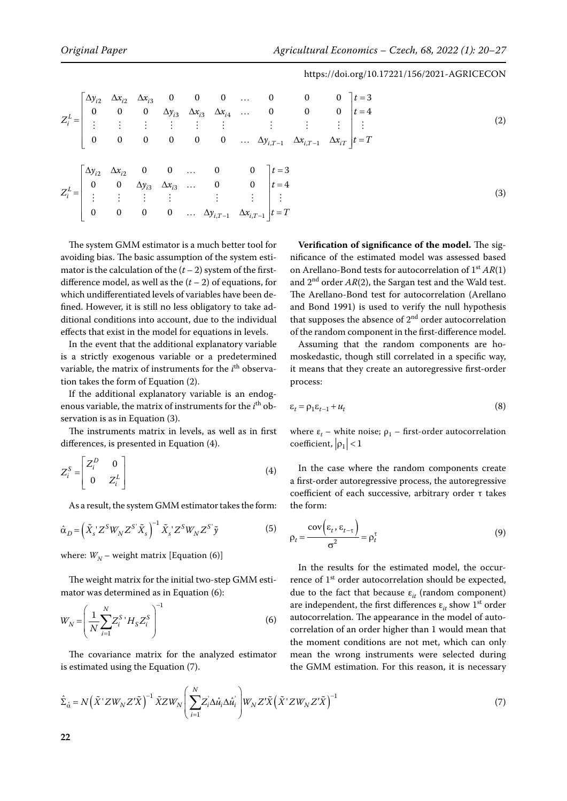(2) (3) 223 334 ,1 ,1 000 0 0 0 3 000 0 0 0 4 000000 *iii L iii i i T i T iT yxx t yxx t Z y x x tT* − − ∆∆∆ … = ∆∆∆… <sup>=</sup> <sup>=</sup> …∆ ∆ ∆ = 2 2 3 3 ,1 ,1 00 0 0 3 0 0 0 0 4 0000 *i i L i i i iT iT y x t y x t Z y x tT* − − ∆ ∆ … = ∆∆… <sup>=</sup> <sup>=</sup> …∆ ∆ = 

The system GMM estimator is a much better tool for avoiding bias. The basic assumption of the system estimator is the calculation of the  $(t - 2)$  system of the firstdifference model, as well as the  $(t - 2)$  of equations, for which undifferentiated levels of variables have been defined. However, it is still no less obligatory to take additional conditions into account, due to the individual effects that exist in the model for equations in levels.

In the event that the additional explanatory variable is a strictly exogenous variable or a predetermined variable, the matrix of instruments for the *i*<sup>th</sup> observation takes the form of Equation (2).

If the additional explanatory variable is an endogenous variable, the matrix of instruments for the *i*<sup>th</sup> observation is as in Equation (3).

The instruments matrix in levels, as well as in first differences, is presented in Equation (4).

$$
Z_i^S = \begin{bmatrix} Z_i^D & 0 \\ 0 & Z_i^L \end{bmatrix}
$$
 (4)

As a result, the system GMM estimator takes the form:

$$
\hat{\alpha}_D = \left(\tilde{X}_s Z^S W_N Z^{S'} \tilde{X}_s\right)^{-1} \tilde{X}_s Z^S W_N Z^{S'} \tilde{y}
$$
\n<sup>(5)</sup>

where:  $W_N$  – weight matrix [Equation (6)]

The weight matrix for the initial two-step GMM estimator was determined as in Equation (6):

$$
W_N = \left(\frac{1}{N} \sum_{i=1}^{N} Z_i^S \, H_S Z_i^S\right)^{-1} \tag{6}
$$

The covariance matrix for the analyzed estimator is estimated using the Equation (7).

**Verification of significance of the model.** The significance of the estimated model was assessed based on Arellano-Bond tests for autocorrelation of 1st *AR*(1) and  $2<sup>nd</sup>$  order  $AR(2)$ , the Sargan test and the Wald test. The Arellano-Bond test for autocorrelation (Arellano and Bond 1991) is used to verify the null hypothesis that supposes the absence of  $2<sup>nd</sup>$  order autocorrelation of the random component in the first-difference model.

Assuming that the random components are homoskedastic, though still correlated in a specific way, it means that they create an autoregressive first-order process:

$$
\varepsilon_t = \rho_1 \varepsilon_{t-1} + u_t \tag{8}
$$

where  $\varepsilon_t$  – white noise;  $\rho_1$  – first-order autocorrelation coefficient,  $|\rho_1|$  < 1

In the case where the random components create a first-order autoregressive process, the autoregressive coefficient of each successive, arbitrary order τ takes the form:

$$
\rho_t = \frac{\text{cov}\left(\varepsilon_t, \varepsilon_{t-\tau}\right)}{\sigma^2} = \rho_t^{\tau} \tag{9}
$$

In the results for the estimated model, the occurrence of 1<sup>st</sup> order autocorrelation should be expected, due to the fact that because  $\varepsilon_{it}$  (random component) are independent, the first differences  $\varepsilon_{it}$  show 1<sup>st</sup> order autocorrelation. The appearance in the model of autocorrelation of an order higher than 1 would mean that the moment conditions are not met, which can only mean the wrong instruments were selected during the GMM estimation. For this reason, it is necessary

$$
\hat{\Sigma}_{\hat{\alpha}} = N\left(\tilde{X}^{\dagger}ZW_{N}Z^{\dagger}\tilde{X}\right)^{-1}\tilde{X}ZW_{N}\left(\sum_{i=1}^{N}Z_{i}\Delta\hat{u}_{i}\Delta\hat{u}_{i}^{\dagger}\right)W_{N}Z^{\dagger}\tilde{X}\left(\tilde{X}^{\dagger}ZW_{N}Z^{\dagger}\tilde{X}\right)^{-1}
$$
\n(7)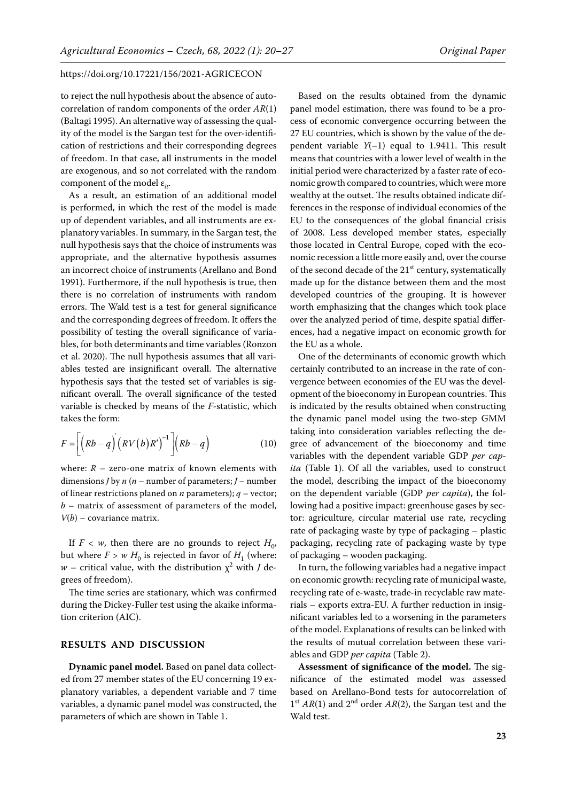to reject the null hypothesis about the absence of autocorrelation of random components of the order *AR*(1) (Baltagi 1995). An alternative way of assessing the quality of the model is the Sargan test for the over-identification of restrictions and their corresponding degrees of freedom. In that case, all instruments in the model are exogenous, and so not correlated with the random component of the model ε<sub>*it*</sub>.

As a result, an estimation of an additional model is performed, in which the rest of the model is made up of dependent variables, and all instruments are explanatory variables. In summary, in the Sargan test, the null hypothesis says that the choice of instruments was appropriate, and the alternative hypothesis assumes an incorrect choice of instruments (Arellano and Bond 1991). Furthermore, if the null hypothesis is true, then there is no correlation of instruments with random errors. The Wald test is a test for general significance and the corresponding degrees of freedom. It offers the possibility of testing the overall significance of variables, for both determinants and time variables (Ronzon et al. 2020). The null hypothesis assumes that all variables tested are insignificant overall. The alternative hypothesis says that the tested set of variables is significant overall. The overall significance of the tested variable is checked by means of the *F*-statistic, which takes the form:

$$
F = \left[ \left( Rb - q \right) \left( RV(b)R' \right)^{-1} \right] \left( Rb - q \right) \tag{10}
$$

where:  $R$  – zero-one matrix of known elements with dimensions *J* by *n* (*n* – number of parameters; *J* – number of linear restrictions planed on *n* parameters); *q* – vector; *b* – matrix of assessment of parameters of the model, *V*(*b*) – covariance matrix.

If  $F < w$ , then there are no grounds to reject  $H_0$ , but where  $F > w H_0$  is rejected in favor of  $H_1$  (where:  $w$  – critical value, with the distribution  $\chi^2$  with *J* degrees of freedom).

The time series are stationary, which was confirmed during the Dickey-Fuller test using the akaike information criterion (AIC).

## **RESULTS AND DISCUSSION**

**Dynamic panel model.** Based on panel data collected from 27 member states of the EU concerning 19 explanatory variables, a dependent variable and 7 time variables, a dynamic panel model was constructed, the parameters of which are shown in Table 1.

Based on the results obtained from the dynamic panel model estimation, there was found to be a process of economic convergence occurring between the 27 EU countries, which is shown by the value of the dependent variable *Y*(–1) equal to 1.9411. This result means that countries with a lower level of wealth in the initial period were characterized by a faster rate of economic growth compared to countries, which were more wealthy at the outset. The results obtained indicate differences in the response of individual economies of the EU to the consequences of the global financial crisis of 2008. Less developed member states, especially those located in Central Europe, coped with the economic recession a little more easily and, over the course of the second decade of the 21<sup>st</sup> century, systematically made up for the distance between them and the most developed countries of the grouping. It is however worth emphasizing that the changes which took place over the analyzed period of time, despite spatial differences, had a negative impact on economic growth for the EU as a whole.

One of the determinants of economic growth which certainly contributed to an increase in the rate of convergence between economies of the EU was the development of the bioeconomy in European countries. This is indicated by the results obtained when constructing the dynamic panel model using the two-step GMM taking into consideration variables reflecting the degree of advancement of the bioeconomy and time variables with the dependent variable GDP *per capita* (Table 1). Of all the variables, used to construct the model, describing the impact of the bioeconomy on the dependent variable (GDP *per capita*), the following had a positive impact: greenhouse gases by sector: agriculture, circular material use rate, recycling rate of packaging waste by type of packaging – plastic packaging, recycling rate of packaging waste by type of packaging – wooden packaging.

In turn, the following variables had a negative impact on economic growth: recycling rate of municipal waste, recycling rate of e-waste, trade-in recyclable raw materials – exports extra-EU. A further reduction in insignificant variables led to a worsening in the parameters of the model. Explanations of results can be linked with the results of mutual correlation between these variables and GDP *per capita* (Table 2).

**Assessment of significance of the model.** The significance of the estimated model was assessed based on Arellano-Bond tests for autocorrelation of  $1<sup>st</sup> AR(1)$  and  $2<sup>nd</sup>$  order  $AR(2)$ , the Sargan test and the Wald test.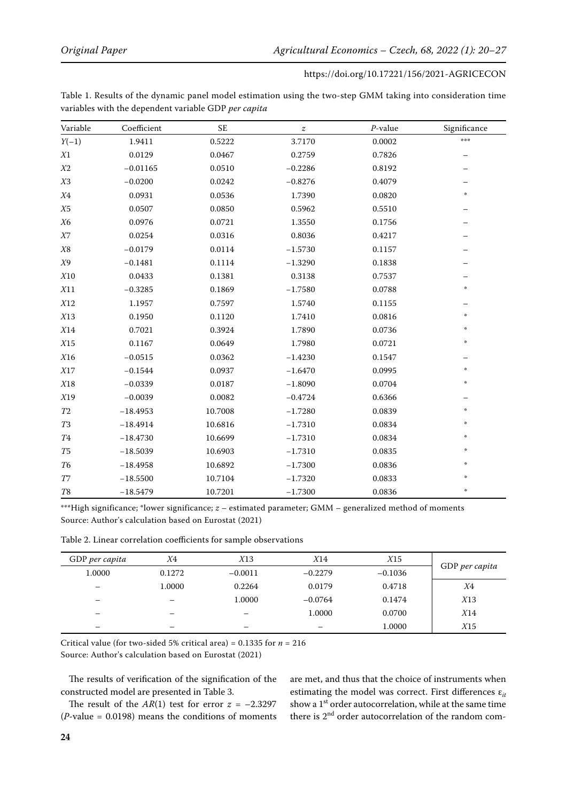| Variable       | Coefficient | $\ensuremath{\mathsf{SE}}$ | $\boldsymbol{z}$ | $P$ -value | Significance        |
|----------------|-------------|----------------------------|------------------|------------|---------------------|
| $Y(-1)$        | 1.9411      | 0.5222                     | 3.7170           | 0.0002     | ***                 |
| $X\mathbf{1}$  | 0.0129      | 0.0467                     | 0.2759           | 0.7826     |                     |
| $X\!2$         | $-0.01165$  | 0.0510                     | $-0.2286$        | 0.8192     |                     |
| X <sub>3</sub> | $-0.0200$   | 0.0242                     | $-0.8276$        | 0.4079     |                     |
| $X\!4$         | 0.0931      | 0.0536                     | 1.7390           | 0.0820     | $\Phi$              |
| X5             | 0.0507      | 0.0850                     | 0.5962           | 0.5510     |                     |
| X6             | 0.0976      | 0.0721                     | 1.3550           | 0.1756     |                     |
| $X\!7$         | 0.0254      | 0.0316                     | 0.8036           | 0.4217     |                     |
| $X\mathbf{8}$  | $-0.0179$   | 0.0114                     | $-1.5730$        | 0.1157     |                     |
| X9             | $-0.1481$   | 0.1114                     | $-1.3290$        | 0.1838     |                     |
| $X10$          | 0.0433      | 0.1381                     | 0.3138           | 0.7537     |                     |
| X11            | $-0.3285$   | 0.1869                     | $-1.7580$        | 0.0788     |                     |
| X12            | 1.1957      | 0.7597                     | 1.5740           | 0.1155     |                     |
| X13            | 0.1950      | 0.1120                     | 1.7410           | 0.0816     | $\boldsymbol{\psi}$ |
| X14            | 0.7021      | 0.3924                     | 1.7890           | 0.0736     | ∗                   |
| X15            | 0.1167      | 0.0649                     | 1.7980           | 0.0721     | $\boldsymbol{\psi}$ |
| X16            | $-0.0515$   | 0.0362                     | $-1.4230$        | 0.1547     |                     |
| X17            | $-0.1544$   | 0.0937                     | $-1.6470$        | 0.0995     | $\pm$               |
| X18            | $-0.0339$   | 0.0187                     | $-1.8090$        | 0.0704     | $\boldsymbol{\psi}$ |
| X19            | $-0.0039$   | 0.0082                     | $-0.4724$        | 0.6366     |                     |
| ${\cal T}2$    | $-18.4953$  | 10.7008                    | $-1.7280$        | 0.0839     | $\boldsymbol{\psi}$ |
| <b>T3</b>      | $-18.4914$  | 10.6816                    | $-1.7310$        | 0.0834     | ÷                   |
| <b>T4</b>      | $-18.4730$  | 10.6699                    | $-1.7310$        | 0.0834     | $\psi$              |
| T <sub>5</sub> | $-18.5039$  | 10.6903                    | $-1.7310$        | 0.0835     | 崇                   |
| T <sub>6</sub> | $-18.4958$  | 10.6892                    | $-1.7300$        | 0.0836     | 華                   |
| T7             | $-18.5500$  | 10.7104                    | $-1.7320$        | 0.0833     | $\psi$              |
| T <sub>8</sub> | $-18.5479$  | 10.7201                    | $-1.7300$        | 0.0836     | $\Phi$              |

| Table 1. Results of the dynamic panel model estimation using the two-step GMM taking into consideration time |  |  |
|--------------------------------------------------------------------------------------------------------------|--|--|
| variables with the dependent variable GDP <i>per capita</i>                                                  |  |  |

\*\*\*High significance; \*lower significance; *z* – estimated parameter; GMM – generalized method of moments Source: Author's calculation based on Eurostat (2021)

| Table 2. Linear correlation coefficients for sample observations |
|------------------------------------------------------------------|
|------------------------------------------------------------------|

| GDP per capita | X4     | X13       | X14       | X15       |                |
|----------------|--------|-----------|-----------|-----------|----------------|
| 1.0000         | 0.1272 | $-0.0011$ | $-0.2279$ | $-0.1036$ | GDP per capita |
|                | 1.0000 | 0.2264    | 0.0179    | 0.4718    | X4             |
|                |        | 1.0000    | $-0.0764$ | 0.1474    | X13            |
| –              | -      |           | 1.0000    | 0.0700    | X14            |
| –              | -      | -         |           | 1.0000    | X15            |

Critical value (for two-sided 5% critical area) =  $0.1335$  for  $n = 216$ Source: Author's calculation based on Eurostat (2021)

The results of verification of the signification of the constructed model are presented in Table 3.

The result of the  $AR(1)$  test for error  $z = -2.3297$  $(P$ -value = 0.0198) means the conditions of moments are met, and thus that the choice of instruments when estimating the model was correct. First differences  $\varepsilon$ <sub>*it*</sub> show a 1<sup>st</sup> order autocorrelation, while at the same time there is  $2<sup>nd</sup>$  order autocorrelation of the random com-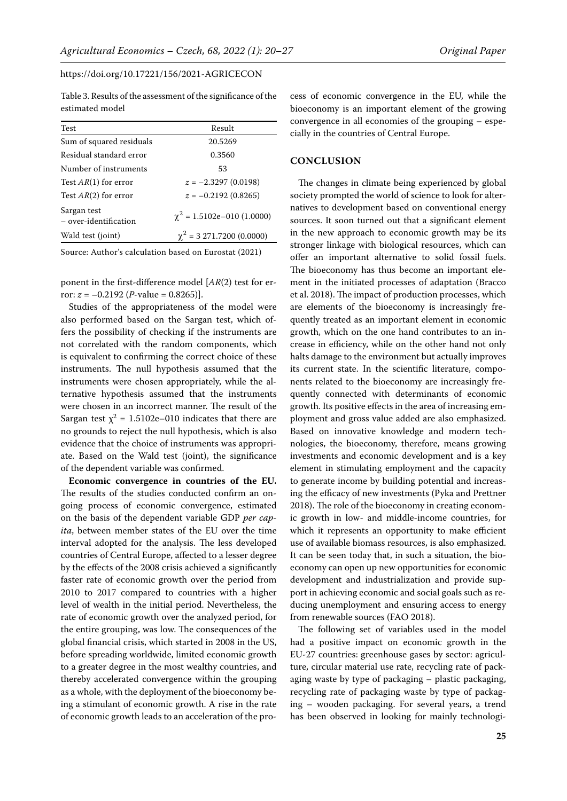Table 3. Results of the assessment of the significance of the estimated model

| <b>Test</b>                          | Result                          |  |  |
|--------------------------------------|---------------------------------|--|--|
| Sum of squared residuals             | 20.5269                         |  |  |
| Residual standard error              | 0.3560                          |  |  |
| Number of instruments                | 53                              |  |  |
| Test $AR(1)$ for error               | $z = -2.3297(0.0198)$           |  |  |
| Test $AR(2)$ for error               | $z = -0.2192(0.8265)$           |  |  |
| Sargan test<br>- over-identification | $\chi^2$ = 1.5102e-010 (1.0000) |  |  |
| Wald test (joint)                    | $\chi^2$ = 3 271.7200 (0.0000)  |  |  |

Source: Author's calculation based on Eurostat (2021)

ponent in the first-difference model [*AR*(2) test for error:  $z = -0.2192$  (*P*-value = 0.8265)].

Studies of the appropriateness of the model were also performed based on the Sargan test, which offers the possibility of checking if the instruments are not correlated with the random components, which is equivalent to confirming the correct choice of these instruments. The null hypothesis assumed that the instruments were chosen appropriately, while the alternative hypothesis assumed that the instruments were chosen in an incorrect manner. The result of the Sargan test  $\chi^2 = 1.5102e-010$  indicates that there are no grounds to reject the null hypothesis, which is also evidence that the choice of instruments was appropriate. Based on the Wald test (joint), the significance of the dependent variable was confirmed.

**Economic convergence in countries of the EU.**  The results of the studies conducted confirm an ongoing process of economic convergence, estimated on the basis of the dependent variable GDP *per capita*, between member states of the EU over the time interval adopted for the analysis. The less developed countries of Central Europe, affected to a lesser degree by the effects of the 2008 crisis achieved a significantly faster rate of economic growth over the period from 2010 to 2017 compared to countries with a higher level of wealth in the initial period. Nevertheless, the rate of economic growth over the analyzed period, for the entire grouping, was low. The consequences of the global financial crisis, which started in 2008 in the US, before spreading worldwide, limited economic growth to a greater degree in the most wealthy countries, and thereby accelerated convergence within the grouping as a whole, with the deployment of the bioeconomy being a stimulant of economic growth. A rise in the rate of economic growth leads to an acceleration of the pro-

cess of economic convergence in the EU, while the bioeconomy is an important element of the growing convergence in all economies of the grouping – especially in the countries of Central Europe.

# **CONCLUSION**

The changes in climate being experienced by global society prompted the world of science to look for alternatives to development based on conventional energy sources. It soon turned out that a significant element in the new approach to economic growth may be its stronger linkage with biological resources, which can offer an important alternative to solid fossil fuels. The bioeconomy has thus become an important element in the initiated processes of adaptation (Bracco et al. 2018). The impact of production processes, which are elements of the bioeconomy is increasingly frequently treated as an important element in economic growth, which on the one hand contributes to an increase in efficiency, while on the other hand not only halts damage to the environment but actually improves its current state. In the scientific literature, components related to the bioeconomy are increasingly frequently connected with determinants of economic growth. Its positive effects in the area of increasing employment and gross value added are also emphasized. Based on innovative knowledge and modern technologies, the bioeconomy, therefore, means growing investments and economic development and is a key element in stimulating employment and the capacity to generate income by building potential and increasing the efficacy of new investments (Pyka and Prettner 2018). The role of the bioeconomy in creating economic growth in low- and middle-income countries, for which it represents an opportunity to make efficient use of available biomass resources, is also emphasized. It can be seen today that, in such a situation, the bioeconomy can open up new opportunities for economic development and industrialization and provide support in achieving economic and social goals such as reducing unemployment and ensuring access to energy from renewable sources (FAO 2018).

The following set of variables used in the model had a positive impact on economic growth in the EU-27 countries: greenhouse gases by sector: agriculture, circular material use rate, recycling rate of packaging waste by type of packaging – plastic packaging, recycling rate of packaging waste by type of packaging – wooden packaging. For several years, a trend has been observed in looking for mainly technologi-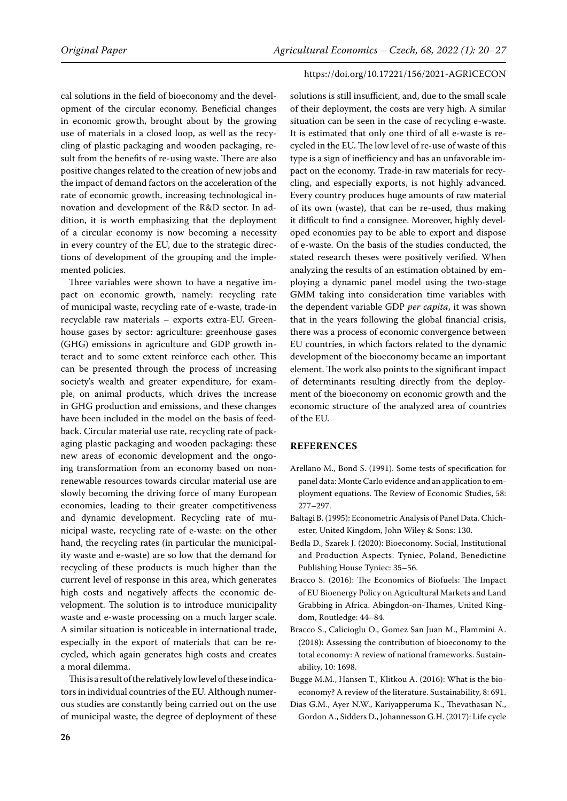# cal solutions in the field of bioeconomy and the development of the circular economy. Beneficial changes in economic growth, brought about by the growing use of materials in a closed loop, as well as the recycling of plastic packaging and wooden packaging, result from the benefits of re-using waste. There are also positive changes related to the creation of new jobs and the impact of demand factors on the acceleration of the rate of economic growth, increasing technological innovation and development of the R&D sector. In addition, it is worth emphasizing that the deployment of a circular economy is now becoming a necessity in every country of the EU, due to the strategic directions of development of the grouping and the implemented policies.

Three variables were shown to have a negative impact on economic growth, namely: recycling rate of municipal waste, recycling rate of e-waste, trade-in recyclable raw materials – exports extra-EU. Greenhouse gases by sector: agriculture: greenhouse gases (GHG) emissions in agriculture and GDP growth interact and to some extent reinforce each other. This can be presented through the process of increasing society's wealth and greater expenditure, for example, on animal products, which drives the increase in GHG production and emissions, and these changes have been included in the model on the basis of feedback. Circular material use rate, recycling rate of packaging plastic packaging and wooden packaging: these new areas of economic development and the ongoing transformation from an economy based on nonrenewable resources towards circular material use are slowly becoming the driving force of many European economies, leading to their greater competitiveness and dynamic development. Recycling rate of municipal waste, recycling rate of e-waste: on the other hand, the recycling rates (in particular the municipality waste and e-waste) are so low that the demand for recycling of these products is much higher than the current level of response in this area, which generates high costs and negatively affects the economic development. The solution is to introduce municipality waste and e-waste processing on a much larger scale. A similar situation is noticeable in international trade, especially in the export of materials that can be recycled, which again generates high costs and creates a moral dilemma.

This is a result of the relatively low level of these indicators in individual countries of the EU. Although numerous studies are constantly being carried out on the use of municipal waste, the degree of deployment of these

## https://doi.org/10.17221/156/2021-AGRICECON

solutions is still insufficient, and, due to the small scale of their deployment, the costs are very high. A similar situation can be seen in the case of recycling e-waste. It is estimated that only one third of all e-waste is recycled in the EU. The low level of re-use of waste of this type is a sign of inefficiency and has an unfavorable impact on the economy. Trade-in raw materials for recycling, and especially exports, is not highly advanced. Every country produces huge amounts of raw material of its own (waste), that can be re-used, thus making it difficult to find a consignee. Moreover, highly developed economies pay to be able to export and dispose of e-waste. On the basis of the studies conducted, the stated research theses were positively verified. When analyzing the results of an estimation obtained by employing a dynamic panel model using the two-stage GMM taking into consideration time variables with the dependent variable GDP *per capita*, it was shown that in the years following the global financial crisis, there was a process of economic convergence between EU countries, in which factors related to the dynamic development of the bioeconomy became an important element. The work also points to the significant impact of determinants resulting directly from the deployment of the bioeconomy on economic growth and the economic structure of the analyzed area of countries of the EU.

# **REFERENCES**

- Arellano M., Bond S. (1991). Some tests of specification for panel data: Monte Carlo evidence and an application to employment equations. The Review of Economic Studies, 58: 277–297.
- Baltagi B. (1995): Econometric Analysis of Panel Data. Chichester, United Kingdom, John Wiley & Sons: 130.
- Bedla D., Szarek J. (2020): Bioeconomy. Social, Institutional and Production Aspects. Tyniec, Poland, Benedictine Publishing House Tyniec: 35–56.
- Bracco S. (2016): The Economics of Biofuels: The Impact of EU Bioenergy Policy on Agricultural Markets and Land Grabbing in Africa. Abingdon-on-Thames, United Kingdom, Routledge: 44–84.
- Bracco S., Calicioglu O., Gomez San Juan M., Flammini A. (2018): Assessing the contribution of bioeconomy to the total economy: A review of national frameworks. Sustainability, 10: 1698.
- Bugge M.M., Hansen T., Klitkou A. (2016): What is the bioeconomy? A review of the literature. Sustainability, 8: 691.
- Dias G.M., Ayer N.W., Kariyapperuma K., Thevathasan N., Gordon A., Sidders D., Johannesson G.H. (2017): Life cycle